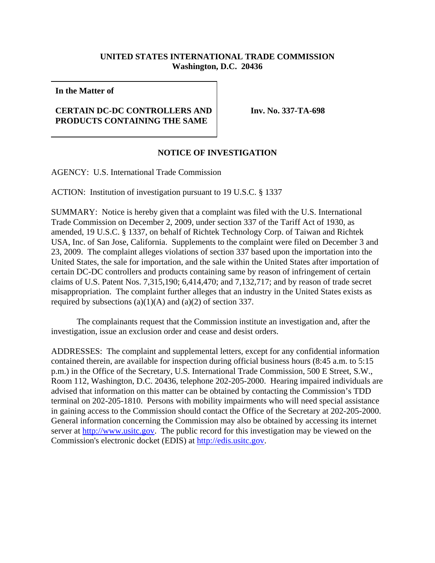## **UNITED STATES INTERNATIONAL TRADE COMMISSION Washington, D.C. 20436**

**In the Matter of**

## **CERTAIN DC-DC CONTROLLERS AND PRODUCTS CONTAINING THE SAME**

**Inv. No. 337-TA-698**

## **NOTICE OF INVESTIGATION**

AGENCY: U.S. International Trade Commission

ACTION: Institution of investigation pursuant to 19 U.S.C. § 1337

SUMMARY: Notice is hereby given that a complaint was filed with the U.S. International Trade Commission on December 2, 2009, under section 337 of the Tariff Act of 1930, as amended, 19 U.S.C. § 1337, on behalf of Richtek Technology Corp. of Taiwan and Richtek USA, Inc. of San Jose, California. Supplements to the complaint were filed on December 3 and 23, 2009. The complaint alleges violations of section 337 based upon the importation into the United States, the sale for importation, and the sale within the United States after importation of certain DC-DC controllers and products containing same by reason of infringement of certain claims of U.S. Patent Nos. 7,315,190; 6,414,470; and 7,132,717; and by reason of trade secret misappropriation. The complaint further alleges that an industry in the United States exists as required by subsections  $(a)(1)(A)$  and  $(a)(2)$  of section 337.

The complainants request that the Commission institute an investigation and, after the investigation, issue an exclusion order and cease and desist orders.

ADDRESSES: The complaint and supplemental letters, except for any confidential information contained therein, are available for inspection during official business hours (8:45 a.m. to 5:15 p.m.) in the Office of the Secretary, U.S. International Trade Commission, 500 E Street, S.W., Room 112, Washington, D.C. 20436, telephone 202-205-2000. Hearing impaired individuals are advised that information on this matter can be obtained by contacting the Commission's TDD terminal on 202-205-1810. Persons with mobility impairments who will need special assistance in gaining access to the Commission should contact the Office of the Secretary at 202-205-2000. General information concerning the Commission may also be obtained by accessing its internet server at http://www.usitc.gov. The public record for this investigation may be viewed on the Commission's electronic docket (EDIS) at http://edis.usitc.gov.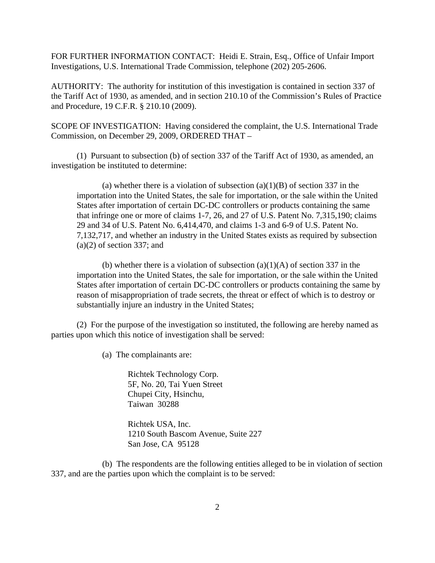FOR FURTHER INFORMATION CONTACT: Heidi E. Strain, Esq., Office of Unfair Import Investigations, U.S. International Trade Commission, telephone (202) 205-2606.

AUTHORITY: The authority for institution of this investigation is contained in section 337 of the Tariff Act of 1930, as amended, and in section 210.10 of the Commission's Rules of Practice and Procedure, 19 C.F.R. § 210.10 (2009).

SCOPE OF INVESTIGATION: Having considered the complaint, the U.S. International Trade Commission, on December 29, 2009, ORDERED THAT –

(1) Pursuant to subsection (b) of section 337 of the Tariff Act of 1930, as amended, an investigation be instituted to determine:

(a) whether there is a violation of subsection (a)(1)(B) of section 337 in the importation into the United States, the sale for importation, or the sale within the United States after importation of certain DC-DC controllers or products containing the same that infringe one or more of claims 1-7, 26, and 27 of U.S. Patent No. 7,315,190; claims 29 and 34 of U.S. Patent No. 6,414,470, and claims 1-3 and 6-9 of U.S. Patent No. 7,132,717, and whether an industry in the United States exists as required by subsection  $(a)(2)$  of section 337; and

(b) whether there is a violation of subsection  $(a)(1)(A)$  of section 337 in the importation into the United States, the sale for importation, or the sale within the United States after importation of certain DC-DC controllers or products containing the same by reason of misappropriation of trade secrets, the threat or effect of which is to destroy or substantially injure an industry in the United States;

(2) For the purpose of the investigation so instituted, the following are hereby named as parties upon which this notice of investigation shall be served:

(a) The complainants are:

Richtek Technology Corp. 5F, No. 20, Tai Yuen Street Chupei City, Hsinchu, Taiwan 30288

Richtek USA, Inc. 1210 South Bascom Avenue, Suite 227 San Jose, CA 95128

(b) The respondents are the following entities alleged to be in violation of section 337, and are the parties upon which the complaint is to be served: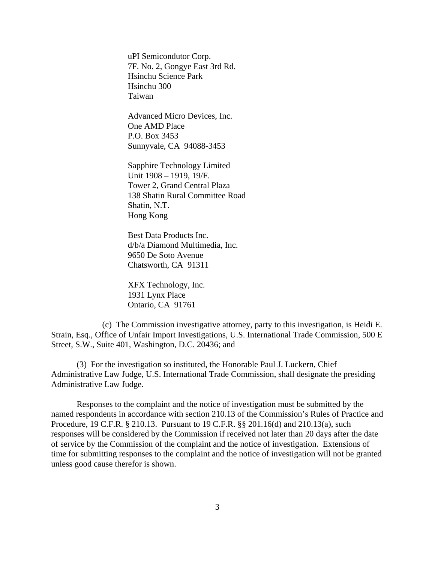uPI Semicondutor Corp. 7F. No. 2, Gongye East 3rd Rd. Hsinchu Science Park Hsinchu 300 Taiwan

Advanced Micro Devices, Inc. One AMD Place P.O. Box 3453 Sunnyvale, CA 94088-3453

Sapphire Technology Limited Unit 1908 – 1919, 19/F. Tower 2, Grand Central Plaza 138 Shatin Rural Committee Road Shatin, N.T. Hong Kong

Best Data Products Inc. d/b/a Diamond Multimedia, Inc. 9650 De Soto Avenue Chatsworth, CA 91311

XFX Technology, Inc. 1931 Lynx Place Ontario, CA 91761

(c) The Commission investigative attorney, party to this investigation, is Heidi E. Strain, Esq., Office of Unfair Import Investigations, U.S. International Trade Commission, 500 E Street, S.W., Suite 401, Washington, D.C. 20436; and

(3) For the investigation so instituted, the Honorable Paul J. Luckern, Chief Administrative Law Judge, U.S. International Trade Commission, shall designate the presiding Administrative Law Judge.

Responses to the complaint and the notice of investigation must be submitted by the named respondents in accordance with section 210.13 of the Commission's Rules of Practice and Procedure, 19 C.F.R. § 210.13. Pursuant to 19 C.F.R. §§ 201.16(d) and 210.13(a), such responses will be considered by the Commission if received not later than 20 days after the date of service by the Commission of the complaint and the notice of investigation. Extensions of time for submitting responses to the complaint and the notice of investigation will not be granted unless good cause therefor is shown.